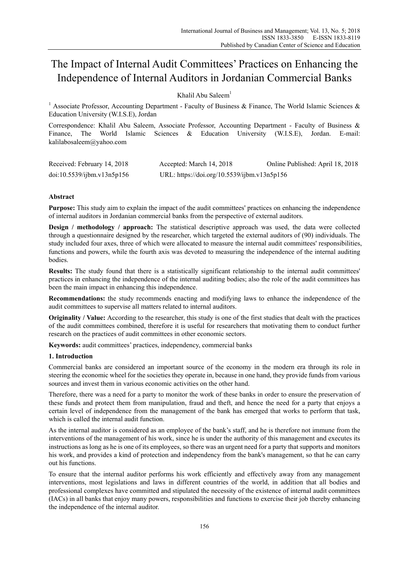# The Impact of Internal Audit Committees' Practices on Enhancing the Independence of Internal Auditors in Jordanian Commercial Banks

Khalil Abu Saleem $<sup>1</sup>$ </sup>

<sup>1</sup> Associate Professor, Accounting Department - Faculty of Business & Finance, The World Islamic Sciences & Education University (W.I.S.E), Jordan

Correspondence: Khalil Abu Saleem, Associate Professor, Accounting Department - Faculty of Business & Finance, The World Islamic Sciences & Education University (W.I.S.E), Jordan. E-mail: kalilabosaleem@yahoo.com

| Received: February 14, 2018 | Accepted: March 14, 2018                    | Online Published: April 18, 2018 |
|-----------------------------|---------------------------------------------|----------------------------------|
| doi:10.5539/ijbm.v13n5p156  | URL: https://doi.org/10.5539/ijbm.v13n5p156 |                                  |

# **Abstract**

**Purpose:** This study aim to explain the impact of the audit committees' practices on enhancing the independence of internal auditors in Jordanian commercial banks from the perspective of external auditors.

**Design / methodology / approach:** The statistical descriptive approach was used, the data were collected through a questionnaire designed by the researcher, which targeted the external auditors of (90) individuals. The study included four axes, three of which were allocated to measure the internal audit committees' responsibilities, functions and powers, while the fourth axis was devoted to measuring the independence of the internal auditing bodies.

**Results:** The study found that there is a statistically significant relationship to the internal audit committees' practices in enhancing the independence of the internal auditing bodies; also the role of the audit committees has been the main impact in enhancing this independence.

**Recommendations:** the study recommends enacting and modifying laws to enhance the independence of the audit committees to supervise all matters related to internal auditors.

**Originality / Value:** According to the researcher, this study is one of the first studies that dealt with the practices of the audit committees combined, therefore it is useful for researchers that motivating them to conduct further research on the practices of audit committees in other economic sectors.

**Keywords:** audit committees' practices, independency, commercial banks

## **1. Introduction**

Commercial banks are considered an important source of the economy in the modern era through its role in steering the economic wheel for the societies they operate in, because in one hand, they provide funds from various sources and invest them in various economic activities on the other hand.

Therefore, there was a need for a party to monitor the work of these banks in order to ensure the preservation of these funds and protect them from manipulation, fraud and theft, and hence the need for a party that enjoys a certain level of independence from the management of the bank has emerged that works to perform that task, which is called the internal audit function.

As the internal auditor is considered as an employee of the bank's staff, and he is therefore not immune from the interventions of the management of his work, since he is under the authority of this management and executes its instructions as long as he is one of its employees, so there was an urgent need for a party that supports and monitors his work, and provides a kind of protection and independency from the bank's management, so that he can carry out his functions.

To ensure that the internal auditor performs his work efficiently and effectively away from any management interventions, most legislations and laws in different countries of the world, in addition that all bodies and professional complexes have committed and stipulated the necessity of the existence of internal audit committees (IACs) in all banks that enjoy many powers, responsibilities and functions to exercise their job thereby enhancing the independence of the internal auditor.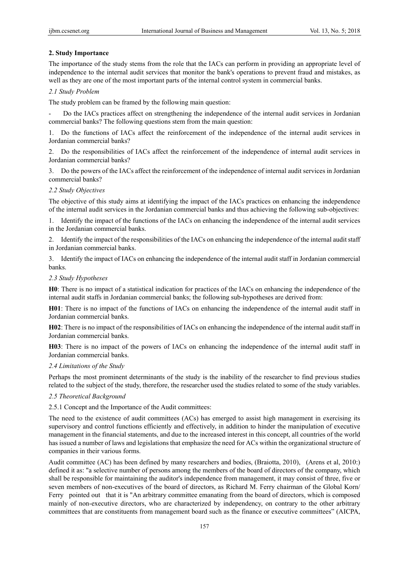## **2. Study Importance**

The importance of the study stems from the role that the IACs can perform in providing an appropriate level of independence to the internal audit services that monitor the bank's operations to prevent fraud and mistakes, as well as they are one of the most important parts of the internal control system in commercial banks.

## *2.1 Study Problem*

The study problem can be framed by the following main question:

- Do the IACs practices affect on strengthening the independence of the internal audit services in Jordanian commercial banks? The following questions stem from the main question:

1. Do the functions of IACs affect the reinforcement of the independence of the internal audit services in Jordanian commercial banks?

2. Do the responsibilities of IACs affect the reinforcement of the independence of internal audit services in Jordanian commercial banks?

3. Do the powers of the IACs affect the reinforcement of the independence of internal audit services in Jordanian commercial banks?

## *2.2 Study Objectives*

The objective of this study aims at identifying the impact of the IACs practices on enhancing the independence of the internal audit services in the Jordanian commercial banks and thus achieving the following sub-objectives:

1. Identify the impact of the functions of the IACs on enhancing the independence of the internal audit services in the Jordanian commercial banks.

2. Identify the impact of the responsibilities of the IACs on enhancing the independence of the internal audit staff in Jordanian commercial banks.

3. Identify the impact of IACs on enhancing the independence of the internal audit staff in Jordanian commercial banks.

## *2.3 Study Hypotheses*

**H0**: There is no impact of a statistical indication for practices of the IACs on enhancing the independence of the internal audit staffs in Jordanian commercial banks; the following sub-hypotheses are derived from:

**H01**: There is no impact of the functions of IACs on enhancing the independence of the internal audit staff in Jordanian commercial banks.

**H02**: There is no impact of the responsibilities of IACs on enhancing the independence of the internal audit staff in Jordanian commercial banks.

**H03**: There is no impact of the powers of IACs on enhancing the independence of the internal audit staff in Jordanian commercial banks.

## *2.4 Limitations of the Study*

Perhaps the most prominent determinants of the study is the inability of the researcher to find previous studies related to the subject of the study, therefore, the researcher used the studies related to some of the study variables.

## *2.5 Theoretical Background*

2.5.1 Concept and the Importance of the Audit committees:

The need to the existence of audit committees (ACs) has emerged to assist high management in exercising its supervisory and control functions efficiently and effectively, in addition to hinder the manipulation of executive management in the financial statements, and due to the increased interest in this concept, all countries of the world has issued a number of laws and legislations that emphasize the need for ACs within the organizational structure of companies in their various forms.

Audit committee (AC) has been defined by many researchers and bodies, (Braiotta, 2010), (Arens et al, 2010:) defined it as: "a selective number of persons among the members of the board of directors of the company, which shall be responsible for maintaining the auditor's independence from management, it may consist of three, five or seven members of non-executives of the board of directors, as Richard M. Ferry chairman of the Global Korn/ Ferry pointed out that it is "An arbitrary committee emanating from the board of directors, which is composed mainly of non-executive directors, who are characterized by independency, on contrary to the other arbitrary committees that are constituents from management board such as the finance or executive committees" (AICPA,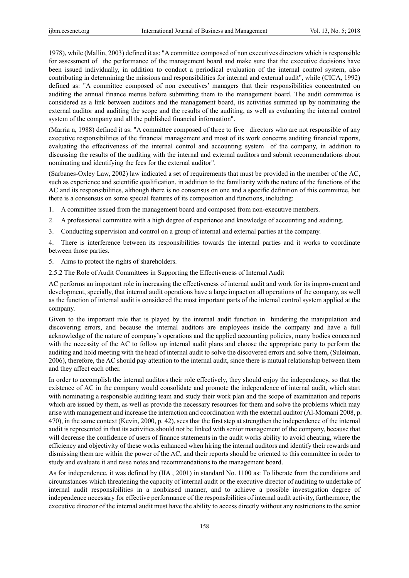1978), while (Mallin, 2003) defined it as: "A committee composed of non executives directors which is responsible for assessment of the performance of the management board and make sure that the executive decisions have been issued individually, in addition to conduct a periodical evaluation of the internal control system, also contributing in determining the missions and responsibilities for internal and external audit", while (CICA, 1992) defined as: "A committee composed of non executives' managers that their responsibilities concentrated on auditing the annual finance menus before submitting them to the management board. The audit committee is considered as a link between auditors and the management board, its activities summed up by nominating the external auditor and auditing the scope and the results of the auditing, as well as evaluating the internal control system of the company and all the published financial information".

(Marria n, 1988) defined it as: "A committee composed of three to five directors who are not responsible of any executive responsibilities of the financial management and most of its work concerns auditing financial reports, evaluating the effectiveness of the internal control and accounting system of the company, in addition to discussing the results of the auditing with the internal and external auditors and submit recommendations about nominating and identifying the fees for the external auditor".

(Sarbanes-Oxley Law, 2002) law indicated a set of requirements that must be provided in the member of the AC, such as experience and scientific qualification, in addition to the familiarity with the nature of the functions of the AC and its responsibilities, although there is no consensus on one and a specific definition of this committee, but there is a consensus on some special features of its composition and functions, including:

1. A committee issued from the management board and composed from non-executive members.

- 2. A professional committee with a high degree of experience and knowledge of accounting and auditing.
- 3. Conducting supervision and control on a group of internal and external parties at the company.

4. There is interference between its responsibilities towards the internal parties and it works to coordinate between those parties.

5. Aims to protect the rights of shareholders.

2.5.2 The Role of Audit Committees in Supporting the Effectiveness of Internal Audit

AC performs an important role in increasing the effectiveness of internal audit and work for its improvement and development, specially, that internal audit operations have a large impact on all operations of the company, as well as the function of internal audit is considered the most important parts of the internal control system applied at the company.

Given to the important role that is played by the internal audit function in hindering the manipulation and discovering errors, and because the internal auditors are employees inside the company and have a full acknowledge of the nature of company's operations and the applied accounting policies, many bodies concerned with the necessity of the AC to follow up internal audit plans and choose the appropriate party to perform the auditing and hold meeting with the head of internal audit to solve the discovered errors and solve them, (Suleiman, 2006), therefore, the AC should pay attention to the internal audit, since there is mutual relationship between them and they affect each other.

In order to accomplish the internal auditors their role effectively, they should enjoy the independency, so that the existence of AC in the company would consolidate and promote the independence of internal audit, which start with nominating a responsible auditing team and study their work plan and the scope of examination and reports which are issued by them, as well as provide the necessary resources for them and solve the problems which may arise with management and increase the interaction and coordination with the external auditor (Al-Momani 2008, p. 470), in the same context (Kevin, 2000, p. 42), sees that the first step at strengthen the independence of the internal audit is represented in that its activities should not be linked with senior management of the company, because that will decrease the confidence of users of finance statements in the audit works ability to avoid cheating, where the efficiency and objectivity of these works enhanced when hiring the internal auditors and identify their rewards and dismissing them are within the power of the AC, and their reports should be oriented to this committee in order to study and evaluate it and raise notes and recommendations to the management board.

As for independence, it was defined by (IIA , 2001) in standard No. 1100 as: To liberate from the conditions and circumstances which threatening the capacity of internal audit or the executive director of auditing to undertake of internal audit responsibilities in a nonbiased manner, and to achieve a possible investigation degree of independence necessary for effective performance of the responsibilities of internal audit activity, furthermore, the executive director of the internal audit must have the ability to access directly without any restrictions to the senior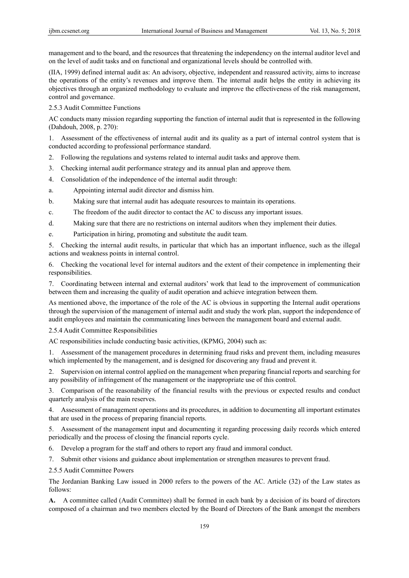management and to the board, and the resources that threatening the independency on the internal auditor level and on the level of audit tasks and on functional and organizational levels should be controlled with.

(IIA, 1999) defined internal audit as: An advisory, objective, independent and reassured activity, aims to increase the operations of the entity's revenues and improve them. The internal audit helps the entity in achieving its objectives through an organized methodology to evaluate and improve the effectiveness of the risk management, control and governance.

2.5.3 Audit Committee Functions

AC conducts many mission regarding supporting the function of internal audit that is represented in the following (Dahdouh, 2008, p. 270):

1. Assessment of the effectiveness of internal audit and its quality as a part of internal control system that is conducted according to professional performance standard.

2. Following the regulations and systems related to internal audit tasks and approve them.

- 3. Checking internal audit performance strategy and its annual plan and approve them.
- 4. Consolidation of the independence of the internal audit through:
- a. Appointing internal audit director and dismiss him.
- b. Making sure that internal audit has adequate resources to maintain its operations.
- c. The freedom of the audit director to contact the AC to discuss any important issues.
- d. Making sure that there are no restrictions on internal auditors when they implement their duties.
- e. Participation in hiring, promoting and substitute the audit team.

5. Checking the internal audit results, in particular that which has an important influence, such as the illegal actions and weakness points in internal control.

6. Checking the vocational level for internal auditors and the extent of their competence in implementing their responsibilities.

7. Coordinating between internal and external auditors' work that lead to the improvement of communication between them and increasing the quality of audit operation and achieve integration between them.

As mentioned above, the importance of the role of the AC is obvious in supporting the Internal audit operations through the supervision of the management of internal audit and study the work plan, support the independence of audit employees and maintain the communicating lines between the management board and external audit.

## 2.5.4 Audit Committee Responsibilities

AC responsibilities include conducting basic activities, (KPMG, 2004) such as:

1. Assessment of the management procedures in determining fraud risks and prevent them, including measures which implemented by the management, and is designed for discovering any fraud and prevent it.

2. Supervision on internal control applied on the management when preparing financial reports and searching for any possibility of infringement of the management or the inappropriate use of this control.

3. Comparison of the reasonability of the financial results with the previous or expected results and conduct quarterly analysis of the main reserves.

4. Assessment of management operations and its procedures, in addition to documenting all important estimates that are used in the process of preparing financial reports.

5. Assessment of the management input and documenting it regarding processing daily records which entered periodically and the process of closing the financial reports cycle.

6. Develop a program for the staff and others to report any fraud and immoral conduct.

7. Submit other visions and guidance about implementation or strengthen measures to prevent fraud.

2.5.5 Audit Committee Powers

The Jordanian Banking Law issued in 2000 refers to the powers of the AC. Article (32) of the Law states as follows:

**A.** A committee called (Audit Committee) shall be formed in each bank by a decision of its board of directors composed of a chairman and two members elected by the Board of Directors of the Bank amongst the members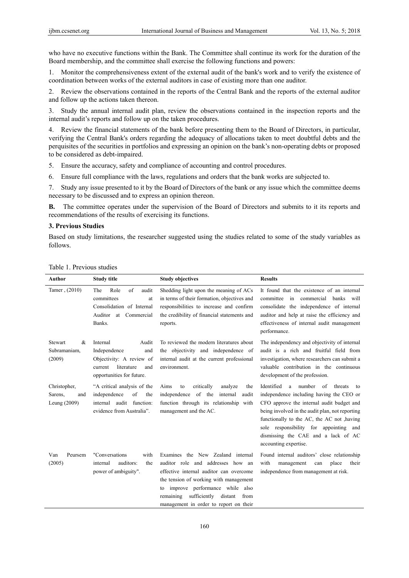who have no executive functions within the Bank. The Committee shall continue its work for the duration of the Board membership, and the committee shall exercise the following functions and powers:

1. Monitor the comprehensiveness extent of the external audit of the bank's work and to verify the existence of coordination between works of the external auditors in case of existing more than one auditor.

2. Review the observations contained in the reports of the Central Bank and the reports of the external auditor and follow up the actions taken thereon.

3. Study the annual internal audit plan, review the observations contained in the inspection reports and the internal audit's reports and follow up on the taken procedures.

4. Review the financial statements of the bank before presenting them to the Board of Directors, in particular, verifying the Central Bank's orders regarding the adequacy of allocations taken to meet doubtful debts and the perquisites of the securities in portfolios and expressing an opinion on the bank's non-operating debts or proposed to be considered as debt-impaired.

- 5. Ensure the accuracy, safety and compliance of accounting and control procedures.
- 6. Ensure full compliance with the laws, regulations and orders that the bank works are subjected to.

7. Study any issue presented to it by the Board of Directors of the bank or any issue which the committee deems necessary to be discussed and to express an opinion thereon.

**B.** The committee operates under the supervision of the Board of Directors and submits to it its reports and recommendations of the results of exercising its functions.

#### **3. Previous Studies**

Based on study limitations, the researcher suggested using the studies related to some of the study variables as follows.

Table 1. Previous studies

| Author                                           | <b>Study title</b>                                                                                                                | <b>Study objectives</b>                                                                                                                                                                                                                                                                       | <b>Results</b>                                                                                                                                                                                                                                                                                                                                        |
|--------------------------------------------------|-----------------------------------------------------------------------------------------------------------------------------------|-----------------------------------------------------------------------------------------------------------------------------------------------------------------------------------------------------------------------------------------------------------------------------------------------|-------------------------------------------------------------------------------------------------------------------------------------------------------------------------------------------------------------------------------------------------------------------------------------------------------------------------------------------------------|
| Tamer, (2010)                                    | Role<br>of<br>audit<br>The<br>committees<br>at<br>Consolidation of Internal<br>Auditor at Commercial<br>Banks.                    | Shedding light upon the meaning of ACs<br>in terms of their formation, objectives and<br>responsibilities to increase and confirm<br>the credibility of financial statements and<br>reports.                                                                                                  | It found that the existence of an internal<br>committee in commercial banks will<br>consolidate the independence of internal<br>auditor and help at raise the efficiency and<br>effectiveness of internal audit management<br>performance.                                                                                                            |
| Stewart<br>&<br>Subramaniam.<br>(2009)           | Audit<br>Internal<br>Independence<br>and<br>Objectivity: A review of<br>literature<br>and<br>current<br>opportunities for future. | To reviewed the modern literatures about<br>the objectivity and independence of<br>internal audit at the current professional<br>environment.                                                                                                                                                 | The independency and objectivity of internal<br>audit is a rich and fruitful field from<br>investigation, where researchers can submit a<br>valuable contribution in the continuous<br>development of the profession.                                                                                                                                 |
| Christopher,<br>Sarens,<br>and<br>Leung $(2009)$ | "A critical analysis of the<br>independence<br>of<br>the<br>audit function:<br>internal<br>evidence from Australia".              | Aims<br>critically<br>to<br>analyze<br>the<br>independence of the<br>audit<br>internal<br>function through its relationship with<br>management and the AC.                                                                                                                                    | Identified<br>of<br>a<br>number<br>threats<br>to<br>independence including having the CEO or<br>CFO approve the internal audit budget and<br>being involved in the audit plan, not reporting<br>functionally to the AC, the AC not , having<br>sole responsibility for appointing and<br>dismissing the CAE and a lack of AC<br>accounting expertise. |
| Van<br>Peursem<br>(2005)                         | "Conversations<br>with<br>auditors:<br>internal<br>the<br>power of ambiguity".                                                    | Examines the New Zealand internal<br>auditor role and addresses how an<br>effective internal auditor can overcome<br>the tension of working with management<br>improve performance while also<br>to<br>sufficiently<br>remaining<br>distant<br>from<br>management in order to report on their | Found internal auditors' close relationship<br>with<br>management<br>place<br>their<br>can<br>independence from management at risk.                                                                                                                                                                                                                   |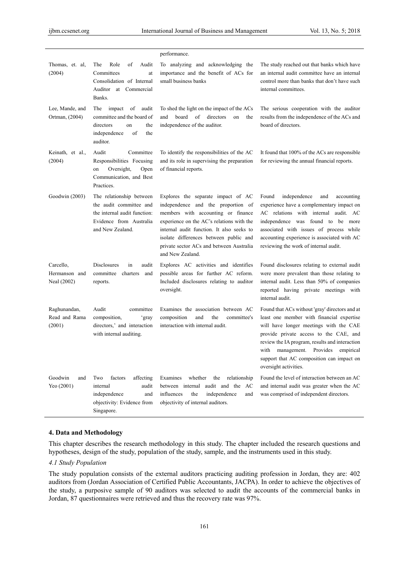|                                           |                                                                                                                                    | performance.                                                                                                                                                                                                                                                                                                       |                                                                                                                                                                                                                                                                                                                                                |
|-------------------------------------------|------------------------------------------------------------------------------------------------------------------------------------|--------------------------------------------------------------------------------------------------------------------------------------------------------------------------------------------------------------------------------------------------------------------------------------------------------------------|------------------------------------------------------------------------------------------------------------------------------------------------------------------------------------------------------------------------------------------------------------------------------------------------------------------------------------------------|
| Thomas, et. al,<br>(2004)                 | Audit<br>The<br>Role<br>οf<br>Committees<br>at<br>Consolidation of Internal<br>Auditor at Commercial<br>Banks.                     | To analyzing and acknowledging the<br>importance and the benefit of ACs for<br>small business banks                                                                                                                                                                                                                | The study reached out that banks which have<br>an internal audit committee have an internal<br>control more than banks that don't have such<br>internal committees.                                                                                                                                                                            |
| Lee, Mande, and<br>Ortman, (2004)         | impact of<br>The<br>audit<br>committee and the board of<br>directors<br>the<br>on<br>independence<br>οf<br>the<br>auditor.         | To shed the light on the impact of the ACs<br>directors<br>board<br>of<br>and<br>the<br>on<br>independence of the auditor.                                                                                                                                                                                         | The serious cooperation with the auditor<br>results from the independence of the ACs and<br>board of directors.                                                                                                                                                                                                                                |
| Keinath, et al.,<br>(2004)                | Audit<br>Committee<br>Responsibilities Focusing<br>Oversight,<br>Open<br>on<br>Communication, and Best<br>Practices.               | To identify the responsibilities of the AC<br>and its role in supervising the preparation<br>of financial reports.                                                                                                                                                                                                 | It found that 100% of the ACs are responsible<br>for reviewing the annual financial reports.                                                                                                                                                                                                                                                   |
| Goodwin (2003)                            | The relationship between<br>the audit committee and<br>the internal audit function:<br>Evidence from Australia<br>and New Zealand. | Explores the separate impact of AC<br>independence and the proportion of<br>members with accounting or finance<br>experience on the AC's relations with the<br>internal audit function. It also seeks to<br>isolate differences between public and<br>private sector ACs and between Australia<br>and New Zealand. | independence<br>Found<br>and<br>accounting<br>experience have a complementary impact on<br>AC relations with internal audit. AC<br>independence was found to be more<br>associated with issues of process while<br>accounting experience is associated with AC<br>reviewing the work of internal audit.                                        |
| Carcello,<br>Hermanson and<br>Neal (2002) | Disclosures<br>in<br>audit<br>committee<br>charters<br>and<br>reports.                                                             | Explores AC activities and identifies<br>possible areas for further AC reform.<br>Included disclosures relating to auditor<br>oversight.                                                                                                                                                                           | Found disclosures relating to external audit<br>were more prevalent than those relating to<br>internal audit. Less than 50% of companies<br>reported having private meetings with<br>internal audit.                                                                                                                                           |
| Raghunandan,<br>Read and Rama<br>(2001)   | Audit<br>committee<br>composition,<br>'gray<br>directors,' and interaction<br>with internal auditing.                              | Examines the association between AC<br>composition<br>the<br>and<br>committee's<br>interaction with internal audit.                                                                                                                                                                                                | Found that ACs without 'gray' directors and at<br>least one member with financial expertise<br>will have longer meetings with the CAE<br>provide private access to the CAE, and<br>review the IA program, results and interaction<br>with management. Provides empirical<br>support that AC composition can impact on<br>oversight activities. |
| Goodwin<br>and<br>Yeo (2001)              | Two<br>factors<br>affecting<br>internal<br>audit<br>independence<br>and<br>objectivity: Evidence from<br>Singapore.                | Examines<br>whether<br>the<br>relationship<br>between internal audit and the AC<br>the<br>influences<br>independence<br>and<br>objectivity of internal auditors.                                                                                                                                                   | Found the level of interaction between an AC<br>and internal audit was greater when the AC<br>was comprised of independent directors.                                                                                                                                                                                                          |

## **4. Data and Methodology**

This chapter describes the research methodology in this study. The chapter included the research questions and hypotheses, design of the study, population of the study, sample, and the instruments used in this study.

## *4.1 Study Population*

The study population consists of the external auditors practicing auditing profession in Jordan, they are: 402 auditors from (Jordan Association of Certified Public Accountants, JACPA). In order to achieve the objectives of the study, a purposive sample of 90 auditors was selected to audit the accounts of the commercial banks in Jordan, 87 questionnaires were retrieved and thus the recovery rate was 97%.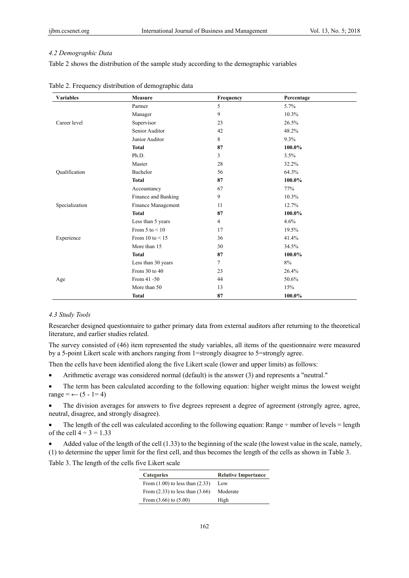## *4.2 Demographic Data*

Table 2 shows the distribution of the sample study according to the demographic variables

| <b>Variables</b> | <b>Measure</b>      | Frequency      | Percentage |  |
|------------------|---------------------|----------------|------------|--|
|                  | Partner             | 5              | 5.7%       |  |
|                  | Manager             | 9              | 10.3%      |  |
| Career level     | Supervisor          | 23             | 26.5%      |  |
|                  | Senior Auditor      | 42             | 48.2%      |  |
|                  | Junior Auditor      | 8              | 9.3%       |  |
|                  | <b>Total</b>        | 87             | 100.0%     |  |
|                  | Ph.D.               | 3              | 3.5%       |  |
|                  | Master              | 28             | 32.2%      |  |
| Qualification    | Bachelor            | 56             | 64.3%      |  |
|                  | <b>Total</b>        | 87             | 100.0%     |  |
|                  | Accountancy         | 67             | 77%        |  |
|                  | Finance and Banking | 9              | 10.3%      |  |
| Specialization   | Finance Management  | 11             | 12.7%      |  |
|                  | <b>Total</b>        | 87             | 100.0%     |  |
|                  | Less than 5 years   | $\overline{4}$ | 4.6%       |  |
|                  | From 5 to $< 10$    | 17             | 19.5%      |  |
| Experience       | From 10 to $<$ 15   | 36             | 41.4%      |  |
|                  | More than 15        | 30             | 34.5%      |  |
|                  | <b>Total</b>        | 87             | 100.0%     |  |
|                  | Less than 30 years  | $\tau$         | 8%         |  |
|                  | From 30 to 40       | 23             | 26.4%      |  |
| Age              | From 41 -50         | 44             | 50.6%      |  |
|                  | More than 50        | 13             | 15%        |  |
|                  | <b>Total</b>        | 87             | 100.0%     |  |

Table 2. Frequency distribution of demographic data

#### *4.3 Study Tools*

Researcher designed questionnaire to gather primary data from external auditors after returning to the theoretical literature, and earlier studies related.

The survey consisted of (46) item represented the study variables, all items of the questionnaire were measured by a 5-point Likert scale with anchors ranging from 1=strongly disagree to 5=strongly agree.

Then the cells have been identified along the five Likert scale (lower and upper limits) as follows:

• Arithmetic average was considered normal (default) is the answer (3) and represents a "neutral."

• The term has been calculated according to the following equation: higher weight minus the lowest weight range =  $\leftarrow$  (5 - 1=4)

The division averages for answers to five degrees represent a degree of agreement (strongly agree, agree, neutral, disagree, and strongly disagree).

• The length of the cell was calculated according to the following equation: Range  $\div$  number of levels  $=$  length of the cell  $4 \div 3 = 1.33$ 

Added value of the length of the cell  $(1.33)$  to the beginning of the scale (the lowest value in the scale, namely, (1) to determine the upper limit for the first cell, and thus becomes the length of the cells as shown in Table 3.

Table 3. The length of the cells five Likert scale

| Categories                          | <b>Relative Importance</b> |
|-------------------------------------|----------------------------|
| From $(1.00)$ to less than $(2.33)$ | Low                        |
| From $(2.33)$ to less than $(3.66)$ | Moderate                   |
| From $(3.66)$ to $(5.00)$           | High                       |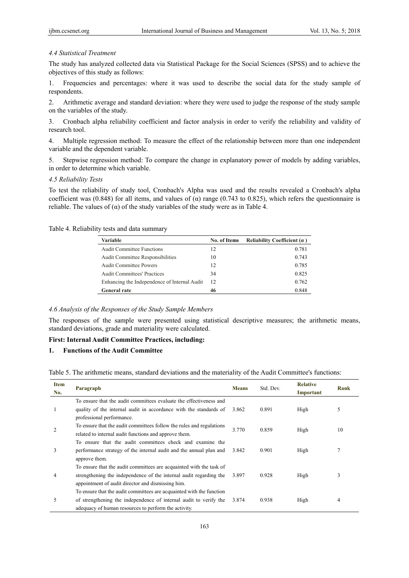#### *4.4 Statistical Treatment*

The study has analyzed collected data via Statistical Package for the Social Sciences (SPSS) and to achieve the objectives of this study as follows:

1. Frequencies and percentages: where it was used to describe the social data for the study sample of respondents.

2. Arithmetic average and standard deviation: where they were used to judge the response of the study sample on the variables of the study.

3. Cronbach alpha reliability coefficient and factor analysis in order to verify the reliability and validity of research tool.

4. Multiple regression method: To measure the effect of the relationship between more than one independent variable and the dependent variable.

5. Stepwise regression method: To compare the change in explanatory power of models by adding variables, in order to determine which variable.

## *4.5 Reliability Tests*

To test the reliability of study tool, Cronbach's Alpha was used and the results revealed a Cronbach's alpha coefficient was (0.848) for all items, and values of ( $\alpha$ ) range (0.743 to 0.825), which refers the questionnaire is reliable. The values of  $(\alpha)$  of the study variables of the study were as in Table 4.

#### Table 4. Reliability tests and data summary

| <b>Variable</b>                              | No. of Items | Reliability Coefficient $(\alpha)$ |
|----------------------------------------------|--------------|------------------------------------|
| <b>Audit Committee Functions</b>             | 12           | 0.781                              |
| <b>Audit Committee Responsibilities</b>      | 10           | 0.743                              |
| <b>Audit Committee Powers</b>                | 12           | 0.785                              |
| <b>Audit Committees' Practices</b>           | 34           | 0.825                              |
| Enhancing the Independence of Internal Audit | 12           | 0.762                              |
| <b>General rate</b>                          | 46           | 0.848                              |

#### *4.6 Analysis of the Responses of the Study Sample Members*

The responses of the sample were presented using statistical descriptive measures; the arithmetic means, standard deviations, grade and materiality were calculated.

#### **First: Internal Audit Committee Practices, including:**

## **1. Functions of the Audit Committee**

| <b>Item</b><br>No. | Paragraph                                                                                                                     | <b>Means</b> | Std. Dev. | <b>Relative</b><br>Important | Rank |
|--------------------|-------------------------------------------------------------------------------------------------------------------------------|--------------|-----------|------------------------------|------|
|                    | To ensure that the audit committees evaluate the effectiveness and                                                            |              |           |                              |      |
|                    | quality of the internal audit in accordance with the standards of<br>professional performance.                                | 3.862        | 0.891     | High                         | 5    |
| 2                  | To ensure that the audit committees follow the rules and regulations<br>related to internal audit functions and approve them. | 3.770        | 0.859     | High                         | 10   |
|                    | To ensure that the audit committees check and examine the                                                                     |              |           |                              |      |
| 3                  | performance strategy of the internal audit and the annual plan and<br>approve them.                                           | 3.842        | 0.901     | High                         | 7    |
|                    | To ensure that the audit committees are acquainted with the task of                                                           |              |           |                              |      |
| 4                  | strengthening the independence of the internal audit regarding the<br>appointment of audit director and dismissing him.       | 3.897        | 0.928     | High                         | 3    |
|                    | To ensure that the audit committees are acquainted with the function                                                          |              |           |                              |      |
| 5                  | of strengthening the independence of internal audit to verify the                                                             | 3.874        | 0.938     | High                         | 4    |
|                    | adequacy of human resources to perform the activity.                                                                          |              |           |                              |      |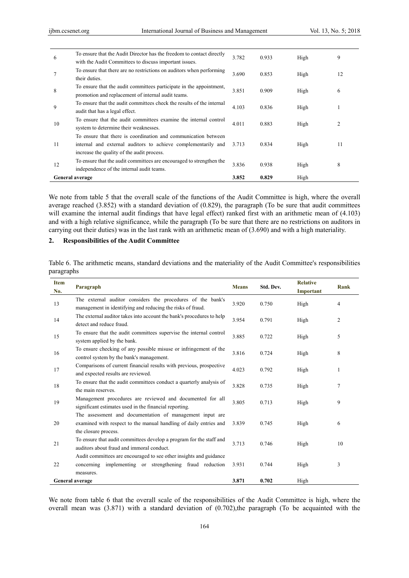| 6               | To ensure that the Audit Director has the freedom to contact directly<br>with the Audit Committees to discuss important issues.                                               | 3.782 | 0.933 | High | 9  |
|-----------------|-------------------------------------------------------------------------------------------------------------------------------------------------------------------------------|-------|-------|------|----|
|                 | To ensure that there are no restrictions on auditors when performing<br>their duties.                                                                                         | 3.690 | 0.853 | High | 12 |
| 8               | To ensure that the audit committees participate in the appointment,<br>promotion and replacement of internal audit teams.                                                     | 3.851 | 0.909 | High | 6  |
| 9               | To ensure that the audit committees check the results of the internal<br>audit that has a legal effect.                                                                       | 4.103 | 0.836 | High | 1  |
| 10              | To ensure that the audit committees examine the internal control<br>system to determine their weaknesses.                                                                     | 4.011 | 0.883 | High | 2  |
| 11              | To ensure that there is coordination and communication between<br>internal and external auditors to achieve complementarily and<br>increase the quality of the audit process. | 3.713 | 0.834 | High | 11 |
| 12              | To ensure that the audit committees are encouraged to strengthen the<br>independence of the internal audit teams.                                                             | 3.836 | 0.938 | High | 8  |
| General average |                                                                                                                                                                               | 3.852 | 0.829 | High |    |

We note from table 5 that the overall scale of the functions of the Audit Committee is high, where the overall average reached (3.852) with a standard deviation of (0.829), the paragraph (To be sure that audit committees will examine the internal audit findings that have legal effect) ranked first with an arithmetic mean of  $(4.103)$ and with a high relative significance, while the paragraph (To be sure that there are no restrictions on auditors in carrying out their duties) was in the last rank with an arithmetic mean of (3.690) and with a high materiality.

#### **2. Responsibilities of the Audit Committee**

| <b>Item</b><br>No. | Paragraph                                                                                                                                             | <b>Means</b> | Std. Dev. | <b>Relative</b><br>Important | Rank |
|--------------------|-------------------------------------------------------------------------------------------------------------------------------------------------------|--------------|-----------|------------------------------|------|
| 13                 | The external auditor considers the procedures of the bank's<br>management in identifying and reducing the risks of fraud.                             | 3.920        | 0.750     | High                         | 4    |
| 14                 | The external auditor takes into account the bank's procedures to help<br>detect and reduce fraud.                                                     | 3.954        | 0.791     | High                         | 2    |
| 15                 | To ensure that the audit committees supervise the internal control<br>system applied by the bank.                                                     | 3.885        | 0.722     | High                         | 5    |
| 16                 | To ensure checking of any possible misuse or infringement of the<br>control system by the bank's management.                                          | 3.816        | 0.724     | High                         | 8    |
| 17                 | Comparisons of current financial results with previous, prospective<br>and expected results are reviewed.                                             | 4.023        | 0.792     | High                         | 1    |
| 18                 | To ensure that the audit committees conduct a quarterly analysis of<br>the main reserves.                                                             | 3.828        | 0.735     | High                         | 7    |
| 19                 | Management procedures are reviewed and documented for all<br>significant estimates used in the financial reporting.                                   | 3.805        | 0.713     | High                         | 9    |
| 20                 | The assessment and documentation of management input are<br>examined with respect to the manual handling of daily entries and<br>the closure process. | 3.839        | 0.745     | High                         | 6    |
| 21                 | To ensure that audit committees develop a program for the staff and<br>auditors about fraud and immoral conduct.                                      | 3.713        | 0.746     | High                         | 10   |
| 22                 | Audit committees are encouraged to see other insights and guidance<br>concerning implementing or strengthening fraud reduction<br>measures.           | 3.931        | 0.744     | High                         | 3    |
|                    | General average                                                                                                                                       | 3.871        | 0.702     | High                         |      |

Table 6. The arithmetic means, standard deviations and the materiality of the Audit Committee's responsibilities paragraphs

We note from table 6 that the overall scale of the responsibilities of the Audit Committee is high, where the overall mean was (3.871) with a standard deviation of (0.702),the paragraph (To be acquainted with the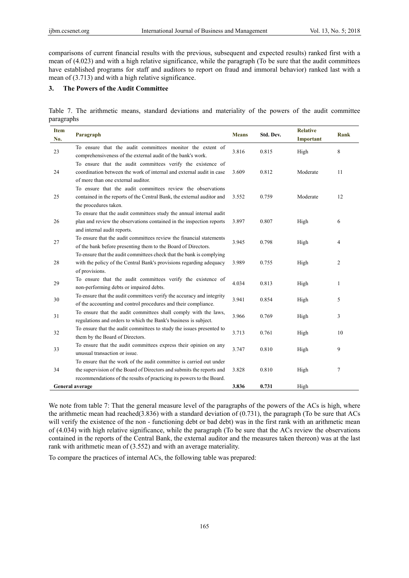comparisons of current financial results with the previous, subsequent and expected results) ranked first with a mean of (4.023) and with a high relative significance, while the paragraph (To be sure that the audit committees have established programs for staff and auditors to report on fraud and immoral behavior) ranked last with a mean of (3.713) and with a high relative significance.

## **3. The Powers of the Audit Committee**

Table 7. The arithmetic means, standard deviations and materiality of the powers of the audit committee paragraphs

| Item<br>No. | Paragraph                                                                                                                                                                                                             | <b>Means</b> | Std. Dev. | <b>Relative</b><br>Important | <b>Rank</b> |
|-------------|-----------------------------------------------------------------------------------------------------------------------------------------------------------------------------------------------------------------------|--------------|-----------|------------------------------|-------------|
| 23          | To ensure that the audit committees monitor the extent of<br>comprehensiveness of the external audit of the bank's work.                                                                                              | 3.816        | 0.815     | High                         | 8           |
| 24          | To ensure that the audit committees verify the existence of<br>coordination between the work of internal and external audit in case<br>of more than one external auditor.                                             | 3.609        | 0.812     | Moderate                     | 11          |
| 25          | To ensure that the audit committees review the observations<br>contained in the reports of the Central Bank, the external auditor and<br>the procedures taken.                                                        | 3.552        | 0.759     | Moderate                     | 12          |
| 26          | To ensure that the audit committees study the annual internal audit<br>plan and review the observations contained in the inspection reports<br>and internal audit reports.                                            | 3.897        | 0.807     | High                         | 6           |
| 27          | To ensure that the audit committees review the financial statements<br>of the bank before presenting them to the Board of Directors.                                                                                  | 3.945        | 0.798     | High                         | 4           |
| 28          | To ensure that the audit committees check that the bank is complying<br>with the policy of the Central Bank's provisions regarding adequacy<br>of provisions.                                                         | 3.989        | 0.755     | High                         | 2           |
| 29          | To ensure that the audit committees verify the existence of<br>non-performing debts or impaired debts.                                                                                                                | 4.034        | 0.813     | High                         | 1           |
| 30          | To ensure that the audit committees verify the accuracy and integrity<br>of the accounting and control procedures and their compliance.                                                                               | 3.941        | 0.854     | High                         | 5           |
| 31          | To ensure that the audit committees shall comply with the laws,<br>regulations and orders to which the Bank's business is subject.                                                                                    | 3.966        | 0.769     | High                         | 3           |
| 32          | To ensure that the audit committees to study the issues presented to<br>them by the Board of Directors.                                                                                                               | 3.713        | 0.761     | High                         | 10          |
| 33          | To ensure that the audit committees express their opinion on any<br>unusual transaction or issue.                                                                                                                     | 3.747        | 0.810     | High                         | 9           |
| 34          | To ensure that the work of the audit committee is carried out under<br>the supervision of the Board of Directors and submits the reports and<br>recommendations of the results of practicing its powers to the Board. | 3.828        | 0.810     | High                         | 7           |
|             | General average                                                                                                                                                                                                       | 3.836        | 0.731     | High                         |             |

We note from table 7: That the general measure level of the paragraphs of the powers of the ACs is high, where the arithmetic mean had reached(3.836) with a standard deviation of (0.731), the paragraph (To be sure that ACs will verify the existence of the non - functioning debt or bad debt) was in the first rank with an arithmetic mean of (4.034) with high relative significance, while the paragraph (To be sure that the ACs review the observations contained in the reports of the Central Bank, the external auditor and the measures taken thereon) was at the last rank with arithmetic mean of (3.552) and with an average materiality.

To compare the practices of internal ACs, the following table was prepared: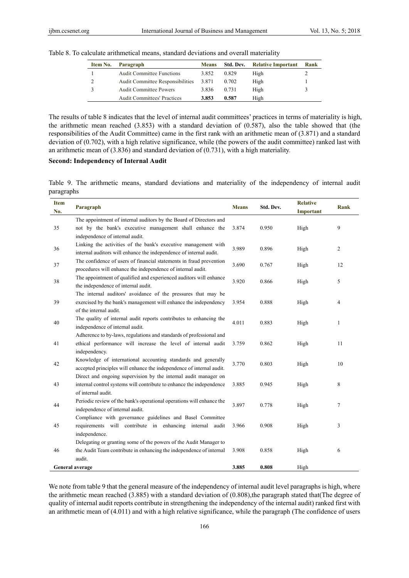| Table 8. To calculate arithmetical means, standard deviations and overall materiality |  |  |  |  |
|---------------------------------------------------------------------------------------|--|--|--|--|
|                                                                                       |  |  |  |  |

| Item No. | Paragraph                               | <b>Means</b> | Std. Dev. | <b>Relative Important</b> | Rank |
|----------|-----------------------------------------|--------------|-----------|---------------------------|------|
|          | <b>Audit Committee Functions</b>        | 3.852        | 0.829     | High                      |      |
|          | <b>Audit Committee Responsibilities</b> | 3.871        | 0.702     | High                      |      |
|          | <b>Audit Committee Powers</b>           | 3.836        | 0.731     | High                      |      |
|          | <b>Audit Committees' Practices</b>      | 3.853        | 0.587     | High                      |      |

The results of table 8 indicates that the level of internal audit committees' practices in terms of materiality is high, the arithmetic mean reached (3.853) with a standard deviation of (0.587), also the table showed that (the responsibilities of the Audit Committee) came in the first rank with an arithmetic mean of (3.871) and a standard deviation of (0.702), with a high relative significance, while (the powers of the audit committee) ranked last with an arithmetic mean of  $(3.836)$  and standard deviation of  $(0.731)$ , with a high materiality.

#### **Second: Independency of Internal Audit**

Table 9. The arithmetic means, standard deviations and materiality of the independency of internal audit paragraphs

| <b>Item</b> | Paragraph                                                                                                                                                         | <b>Means</b> | Std. Dev. | <b>Relative</b> | Rank           |
|-------------|-------------------------------------------------------------------------------------------------------------------------------------------------------------------|--------------|-----------|-----------------|----------------|
| No.         |                                                                                                                                                                   |              |           | Important       |                |
| 35          | The appointment of internal auditors by the Board of Directors and<br>not by the bank's executive management shall enhance the<br>independence of internal audit. | 3.874        | 0.950     | High            | 9              |
| 36          | Linking the activities of the bank's executive management with<br>internal auditors will enhance the independence of internal audit.                              | 3.989        | 0.896     | High            | $\overline{2}$ |
| 37          | The confidence of users of financial statements in fraud prevention<br>procedures will enhance the independence of internal audit.                                | 3.690        | 0.767     | High            | 12             |
| 38          | The appointment of qualified and experienced auditors will enhance<br>the independence of internal audit.                                                         | 3.920        | 0.866     | High            | 5              |
| 39          | The internal auditors' avoidance of the pressures that may be<br>exercised by the bank's management will enhance the independency<br>of the internal audit.       | 3.954        | 0.888     | High            | 4              |
| 40          | The quality of internal audit reports contributes to enhancing the<br>independence of internal audit.                                                             | 4.011        | 0.883     | High            | $\mathbf{1}$   |
| 41          | Adherence to by-laws, regulations and standards of professional and<br>ethical performance will increase the level of internal audit<br>independency.             | 3.759        | 0.862     | High            | 11             |
| 42          | Knowledge of international accounting standards and generally<br>accepted principles will enhance the independence of internal audit.                             | 3.770        | 0.803     | High            | 10             |
| 43          | Direct and ongoing supervision by the internal audit manager on<br>internal control systems will contribute to enhance the independence<br>of internal audit.     | 3.885        | 0.945     | High            | 8              |
| 44          | Periodic review of the bank's operational operations will enhance the<br>independence of internal audit.                                                          | 3.897        | 0.778     | High            | 7              |
| 45          | Compliance with governance guidelines and Basel Committee<br>requirements will contribute in enhancing internal audit<br>independence.                            | 3.966        | 0.908     | High            | 3              |
| 46          | Delegating or granting some of the powers of the Audit Manager to<br>the Audit Team contribute in enhancing the independence of internal<br>audit.                | 3.908        | 0.858     | High            | 6              |
|             | General average                                                                                                                                                   | 3.885        | 0.808     | High            |                |

We note from table 9 that the general measure of the independency of internal audit level paragraphs is high, where the arithmetic mean reached (3.885) with a standard deviation of (0.808),the paragraph stated that(The degree of quality of internal audit reports contribute in strengthening the independency of the internal audit) ranked first with an arithmetic mean of (4.011) and with a high relative significance, while the paragraph (The confidence of users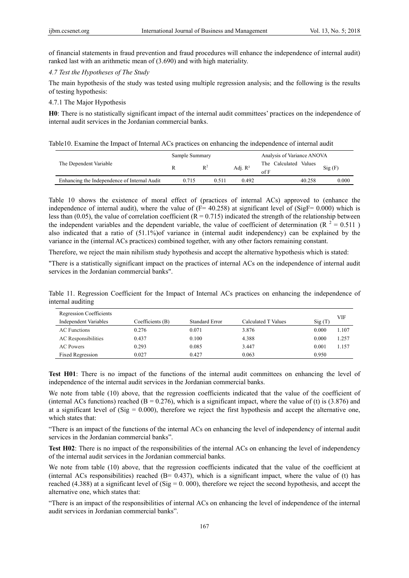of financial statements in fraud prevention and fraud procedures will enhance the independence of internal audit) ranked last with an arithmetic mean of (3.690) and with high materiality.

*4.7 Test the Hypotheses of The Study* 

The main hypothesis of the study was tested using multiple regression analysis; and the following is the results of testing hypothesis:

4.7.1 The Major Hypothesis

**H0**: There is no statistically significant impact of the internal audit committees' practices on the independence of internal audit services in the Jordanian commercial banks.

|  |  |  |  |  | Table 10. Examine the Impact of Internal ACs practices on enhancing the independence of internal audit |  |
|--|--|--|--|--|--------------------------------------------------------------------------------------------------------|--|
|  |  |  |  |  |                                                                                                        |  |

|                                              | Sample Summary |       |       |            | Analysis of Variance ANOVA    |        |        |  |
|----------------------------------------------|----------------|-------|-------|------------|-------------------------------|--------|--------|--|
| The Dependent Variable                       |                | $R^2$ |       | Adj. $R^2$ | The Calculated Values<br>of F |        | Sig(F) |  |
| Enhancing the Independence of Internal Audit | 0.715          |       | 0.511 | 0.492      |                               | 40.258 | 0.000  |  |

Table 10 shows the existence of moral effect of (practices of internal ACs) approved to (enhance the independence of internal audit), where the value of  $(F = 40.258)$  at significant level of (SigF= 0.000) which is less than (0.05), the value of correlation coefficient  $(R = 0.715)$  indicated the strength of the relationship between the independent variables and the dependent variable, the value of coefficient of determination ( $R^2 = 0.511$ ) also indicated that a ratio of (51.1%)of variance in (internal audit independency) can be explained by the variance in the (internal ACs practices) combined together, with any other factors remaining constant.

Therefore, we reject the main nihilism study hypothesis and accept the alternative hypothesis which is stated:

"There is a statistically significant impact on the practices of internal ACs on the independence of internal audit services in the Jordanian commercial banks".

Table 11. Regression Coefficient for the Impact of Internal ACs practices on enhancing the independence of internal auditing

| <b>Regression Coefficients</b> |                  |                |                     |        |       |  |  |
|--------------------------------|------------------|----------------|---------------------|--------|-------|--|--|
| Independent Variables          | Coefficients (B) | Standard Error | Calculated T Values | Sig(T) | VIF   |  |  |
| <b>AC</b> Functions            | 0.276            | 0.071          | 3.876               | 0.000  | 1.107 |  |  |
| AC Responsibilities            | 0.437            | 0.100          | 4.388               | 0.000  | 1.257 |  |  |
| AC Powers                      | 0.293            | 0.085          | 3.447               | 0.001  | 1.157 |  |  |
| <b>Fixed Regression</b>        | 0.027            | 0.427          | 0.063               | 0.950  |       |  |  |

**Test H01**: There is no impact of the functions of the internal audit committees on enhancing the level of independence of the internal audit services in the Jordanian commercial banks.

We note from table (10) above, that the regression coefficients indicated that the value of the coefficient of (internal ACs functions) reached  $(B = 0.276)$ , which is a significant impact, where the value of (t) is (3.876) and at a significant level of (Sig =  $0.000$ ), therefore we reject the first hypothesis and accept the alternative one, which states that:

"There is an impact of the functions of the internal ACs on enhancing the level of independency of internal audit services in the Jordanian commercial banks".

**Test H02**: There is no impact of the responsibilities of the internal ACs on enhancing the level of independency of the internal audit services in the Jordanian commercial banks.

We note from table (10) above, that the regression coefficients indicated that the value of the coefficient at (internal ACs responsibilities) reached  $(B= 0.437)$ , which is a significant impact, where the value of (t) has reached (4.388) at a significant level of (Sig =  $0.000$ ), therefore we reject the second hypothesis, and accept the alternative one, which states that:

"There is an impact of the responsibilities of internal ACs on enhancing the level of independence of the internal audit services in Jordanian commercial banks".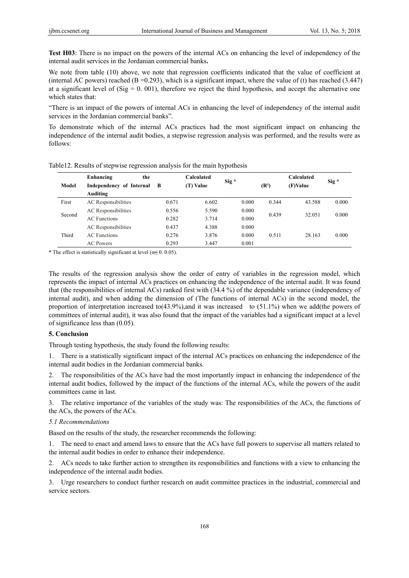**Test H03**: There is no impact on the powers of the internal ACs on enhancing the level of independency of the internal audit services in the Jordanian commercial banks**.**

We note from table (10) above, we note that regression coefficients indicated that the value of coefficient at (internal AC powers) reached  $(B = 0.293)$ , which is a significant impact, where the value of (t) has reached (3.447) at a significant level of (Sig  $= 0.001$ ), therefore we reject the third hypothesis, and accept the alternative one which states that:

"There is an impact of the powers of internal ACs in enhancing the level of independency of the internal audit services in the Jordanian commercial banks".

To demonstrate which of the internal ACs practices had the most significant impact on enhancing the independence of the internal audit bodies, a stepwise regression analysis was performed, and the results were as follows:

| Model  | Enhancing<br>the<br>Independency of Internal<br>Auditing | $\mathbf B$ | <b>Calculated</b><br>(T) Value | $\text{Sig}$ * | (R <sup>2</sup> ) | Calculated<br>(F)Value | $\text{Sig}$ * |
|--------|----------------------------------------------------------|-------------|--------------------------------|----------------|-------------------|------------------------|----------------|
| First  | AC Responsibilities                                      | 0.671       | 6.602                          | 0.000          | 0.344             | 43.588                 | 0.000          |
| Second | AC Responsibilities                                      | 0.556       | 5.590                          | 0.000          | 0.439             | 32.051                 | 0.000          |
|        | <b>AC</b> Functions                                      | 0.282       | 3.714                          | 0.000          |                   |                        |                |
|        | <b>AC</b> Responsibilities                               | 0.437       | 4.388                          | 0.000          |                   |                        |                |
| Third  | <b>AC</b> Functions                                      | 0.276       | 3.876                          | 0.000          | 0.511             | 28.163                 | 0.000          |
|        | <b>AC</b> Powers                                         | 0.293       | 3.447                          | 0.001          |                   |                        |                |

Table12. Results of stepwise regression analysis for the main hypothesis

\* The effect is statistically significant at level ( $\alpha \leq 0.005$ ).

The results of the regression analysis show the order of entry of variables in the regression model, which represents the impact of internal ACs practices on enhancing the independence of the internal audit. It was found that (the responsibilities of internal ACs) ranked first with (34.4 %) of the dependable variance (independency of internal audit), and when adding the dimension of (The functions of internal ACs) in the second model, the proportion of interpretation increased to(43.9%),and it was increased to (51.1%) when we add(the powers of committees of internal audit), it was also found that the impact of the variables had a significant impact at a level of significance less than (0.05).

#### **5. Conclusion**

Through testing hypothesis, the study found the following results:

1. There is a statistically significant impact of the internal ACs practices on enhancing the independence of the internal audit bodies in the Jordanian commercial banks.

2. The responsibilities of the ACs have had the most importantly impact in enhancing the independence of the internal audit bodies, followed by the impact of the functions of the internal ACs, while the powers of the audit committees came in last.

3. The relative importance of the variables of the study was: The responsibilities of the ACs, the functions of the ACs, the powers of the ACs.

#### *5.1 Recommendations*

Based on the results of the study, the researcher recommends the following:

1. The need to enact and amend laws to ensure that the ACs have full powers to supervise all matters related to the internal audit bodies in order to enhance their independence.

2. ACs needs to take further action to strengthen its responsibilities and functions with a view to enhancing the independence of the internal audit bodies.

3. Urge researchers to conduct further research on audit committee practices in the industrial, commercial and service sectors.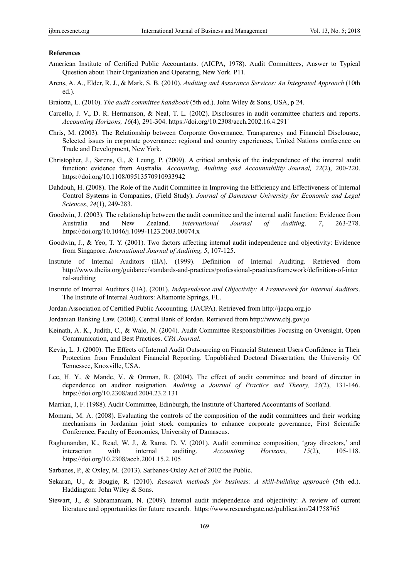#### **References**

- American Institute of Certified Public Accountants. (AICPA, 1978). Audit Committees, Answer to Typical Question about Their Organization and Operating, New York. P11.
- Arens, A. A., Elder, R. J., & Mark, S. B. (2010). *Auditing and Assurance Services: An Integrated Approach* (10th ed.).
- Braiotta, L. (2010). *The audit committee handbook* (5th ed.). John Wiley & Sons, USA, p 24.
- Carcello, J. V., D. R. Hermanson, & Neal, T. L. (2002). Disclosures in audit committee charters and reports. *Accounting Horizons, 16*(4), 291-304. https://doi.org/10.2308/acch.2002.16.4.291`
- Chris, M. (2003). The Relationship between Corporate Governance, Transparency and Financial Disclousue, Selected issues in corporate governance: regional and country experiences, United Nations conference on Trade and Development, New York.
- Christopher, J., Sarens, G., & Leung, P. (2009). A critical analysis of the independence of the internal audit function: evidence from Australia. *Accounting, Auditing and Accountability Journal, 22*(2), 200-220. https://doi.org/10.1108/09513570910933942
- Dahdouh, H. (2008). The Role of the Audit Committee in Improving the Efficiency and Effectiveness of Internal Control Systems in Companies, (Field Study). *Journal of Damascus University for Economic and Legal Sciences*, *24*(1), 249-283.
- Goodwin, J. (2003). The relationship between the audit committee and the internal audit function: Evidence from Australia and New Zealand. *International Journal of Auditing, 7*, 263-278. https://doi.org/10.1046/j.1099-1123.2003.00074.x
- Goodwin, J., & Yeo, T. Y. (2001). Two factors affecting internal audit independence and objectivity: Evidence from Singapore. *International Journal of Auditing, 5*, 107-125.
- Institute of Internal Auditors (IIA). (1999). Definition of Internal Auditing. Retrieved from http://www.theiia.org/guidance/standards-and-practices/professional-practicesframework/definition-of-inter nal-auditing
- Institute of Internal Auditors (IIA). (2001). *Independence and Objectivity: A Framework for Internal Auditors*. The Institute of Internal Auditors: Altamonte Springs, FL.
- Jordan Association of Certified Public Accounting. (JACPA). Retrieved from http://jacpa.org.jo
- Jordanian Banking Law. (2000). Central Bank of Jordan. Retrieved from http://www.cbj.gov.jo
- Keinath, A. K., Judith, C., & Walo, N. (2004). Audit Committee Responsibilities Focusing on Oversight, Open Communication, and Best Practices. *CPA Journal.*
- Kevin, L. J. (2000). The Effects of Internal Audit Outsourcing on Financial Statement Users Confidence in Their Protection from Fraudulent Financial Reporting. Unpublished Doctoral Dissertation, the University Of Tennessee, Knoxville, USA.
- Lee, H. Y., & Mande, V., & Ortman, R. (2004). The effect of audit committee and board of director in dependence on auditor resignation. *Auditing a Journal of Practice and Theory, 23*(2), 131-146. https://doi.org/10.2308/aud.2004.23.2.131
- Marrian, I, F. (1988). Audit Committee, Edinburgh, the Institute of Chartered Accountants of Scotland.
- Momani, M. A. (2008). Evaluating the controls of the composition of the audit committees and their working mechanisms in Jordanian joint stock companies to enhance corporate governance, First Scientific Conference, Faculty of Economics, University of Damascus.
- Raghunandan, K., Read, W. J., & Rama, D. V. (2001). Audit committee composition, 'gray directors,' and interaction with internal auditing. *Accounting Horizons, 15*(2), 105-118. https://doi.org/10.2308/acch.2001.15.2.105
- Sarbanes, P., & Oxley, M. (2013). Sarbanes-Oxley Act of 2002 the Public.
- Sekaran, U., & Bougie, R. (2010). *Research methods for business: A skill-building approach* (5th ed.). Haddington: John Wiley & Sons.
- Stewart, J., & Subramaniam, N. (2009). Internal audit independence and objectivity: A review of current literature and opportunities for future research. https://www.researchgate.net/publication/241758765